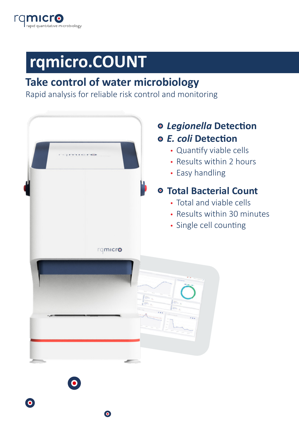

# **rqmicro.COUNT**

# **Take control of water microbiology**

Rapid analysis for reliable risk control and monitoring

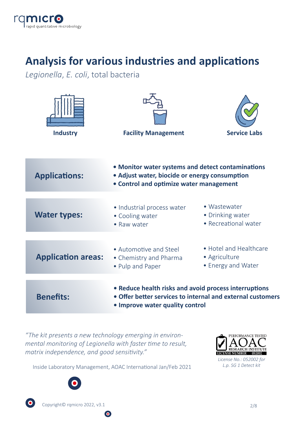

# **Analysis for various industries and applications**

*Legionella*, *E. coli*, total bacteria

| <b>Industry</b>           | <b>Facility Management</b>                                                                                                                    | <b>Service Labs</b>                                           |
|---------------------------|-----------------------------------------------------------------------------------------------------------------------------------------------|---------------------------------------------------------------|
| <b>Applications:</b>      | • Monitor water systems and detect contaminations<br>• Adjust water, biocide or energy consumption<br>• Control and optimize water management |                                                               |
| <b>Water types:</b>       | • Industrial process water<br>• Cooling water<br>• Raw water                                                                                  | • Wastewater<br>• Drinking water<br>• Recreational water      |
| <b>Application areas:</b> | • Automotive and Steel<br>• Chemistry and Pharma<br>• Pulp and Paper                                                                          | • Hotel and Healthcare<br>• Agriculture<br>• Energy and Water |
| <b>Benefits:</b>          | • Reduce health risks and avoid process interruptions<br>• Improve water quality control                                                      | • Offer better services to internal and external customers    |

*"The kit presents a new technology emerging in environmental monitoring of Legionella with faster time to result, matrix independence, and good sensitivity."*



*License No.: 052002 for L.p. SG 1 Detect kit*

Inside Laboratory Management, AOAC International Jan/Feb 2021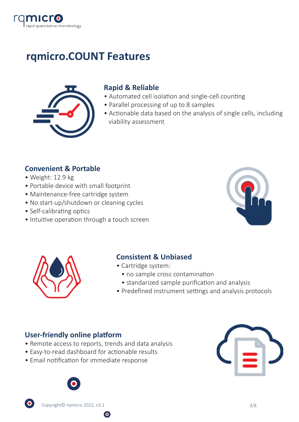

# **rqmicro.COUNT Features**



### **Rapid & Reliable**

- Automated cell isolation and single-cell counting
- Parallel processing of up to 8 samples
- Actionable data based on the analysis of single cells, including viability assessment

### **Convenient & Portable**

- Weight: 12.9 kg
- Portable device with small footprint
- Maintenance-free cartridge system
- No start-up/shutdown or cleaning cycles
- Self-calibrating optics
- Intuitive operation through a touch screen





### **Consistent & Unbiased**

- Cartridge system:
	- no sample cross contamination
	- standarized sample purification and analysis
- Predefined instrument settings and analysis protocols

#### **User-friendly online platform**

• Remote access to reports, trends and data analysis

- Easy-to-read dashboard for actionable results
- Email notification for immediate response



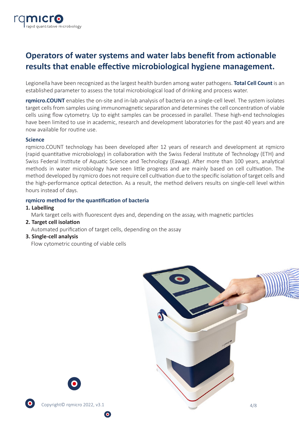

## **Operators of water systems and water labs benefit from actionable** results that enable effective microbiological hygiene management.

Legionella have been recognized as the largest health burden among water pathogens. **Total Cell Count** is an established parameter to assess the total microbiological load of drinking and process water.

**rqmicro.COUNT** enables the on-site and in-lab analysis of bacteria on a single-cell level. The system isolates target cells from samples using immunomagnetic separation and determines the cell concentration of viable cells using flow cytometry. Up to eight samples can be processed in parallel. These high-end technologies have been limited to use in academic, research and development laboratories for the past 40 years and are now available for routine use.

#### **Science**

rqmicro.COUNT technology has been developed a�er 12 years of research and development at rqmicro (rapid quantitative microbiology) in collaboration with the Swiss Federal Institute of Technology (ETH) and Swiss Federal Institute of Aquatic Science and Technology (Eawag). After more than 100 years, analytical methods in water microbiology have seen little progress and are mainly based on cell cultivation. The method developed by rqmicro does not require cell cultivation due to the specific isolation of target cells and the high-performance optical detection. As a result, the method delivers results on single-cell level within hours instead of days.

#### rqmicro method for the quantification of bacteria

#### **1. Labelling**

Mark target cells with fluorescent dyes and, depending on the assay, with magnetic particles

**2. Target cell isolation** 

Automated purification of target cells, depending on the assay

**3. Single-cell analysis**

Flow cytometric counting of viable cells



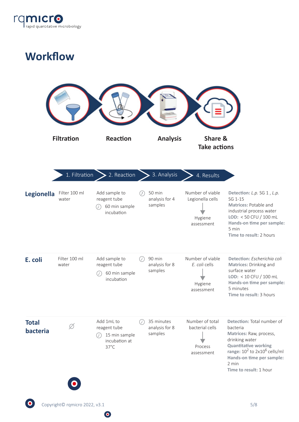

# **Workflow**

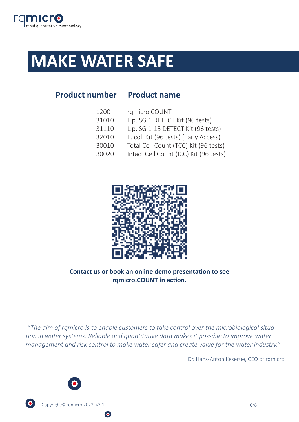

# **MAKE WATER SAFE**

| <b>Product number</b> | <b>Product name</b>                    |  |  |
|-----------------------|----------------------------------------|--|--|
| 1200                  | rqmicro.COUNT                          |  |  |
| 31010                 | L.p. SG 1 DETECT Kit (96 tests)        |  |  |
| 31110                 | L.p. SG 1-15 DETECT Kit (96 tests)     |  |  |
| 32010                 | E. coli Kit (96 tests) (Early Access)  |  |  |
| 30010                 | Total Cell Count (TCC) Kit (96 tests)  |  |  |
| 30020                 | Intact Cell Count (ICC) Kit (96 tests) |  |  |
|                       |                                        |  |  |



#### **Contact us or book an online demo presentation to see** rqmicro.COUNT in action.

 *"The aim of rqmicro is to enable customers to take control over the microbiological situation in water systems. Reliable and quantitative data makes it possible to improve water management and risk control to make water safer and create value for the water industry."* 

Dr. Hans-Anton Keserue, CEO of rqmicro



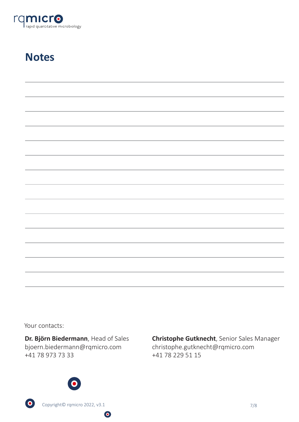

# **Notes**

| <u> 1989 - Andrea Santa Andrea Andrea Andrea Andrea Andrea Andrea Andrea Andrea Andrea Andrea Andrea Andrea Andr</u>  |  |  |
|-----------------------------------------------------------------------------------------------------------------------|--|--|
| ,我们也不会有什么?""我们的人,我们也不会不会不会。""我们的人,我们也不会不会不会不会。""我们的人,我们也不会不会不会。""我们的人,我们也不会不会不会不会                                     |  |  |
| <u> 1989 - Andrea Andrea Andrea Andrea Andrea Andrea Andrea Andrea Andrea Andrea Andrea Andrea Andrea Andrea Andr</u> |  |  |
|                                                                                                                       |  |  |
| ,我们也不会有什么?""我们的人,我们也不会不会不会不会不会不会不会。""我们的人,我们也不会不会不会不会不会不会不会。""我们的人,我们也不会不会不会不会。""                                     |  |  |
|                                                                                                                       |  |  |
| ,我们也不能会在这里的,我们也不能会在这里,我们也不能会在这里,我们也不能会在这里,我们也不能会在这里,我们也不能会在这里,我们也不能会在这里,我们也不能会在这里                                     |  |  |
| ,我们也不会有什么。""我们的人,我们也不会不会不会不会不会不会不会。""我们的人,我们也不会不会不会不会不会不会不会。""我们的人,我们也不会不会不会不会不会                                      |  |  |
|                                                                                                                       |  |  |
|                                                                                                                       |  |  |

Your contacts:

 $\bullet$ 

**Dr. Björn Biedermann**, Head of Sales bjoern.biedermann@rqmicro.com +41 78 973 73 33

**Christophe Gutknecht**, Senior Sales Manager christophe.gutknecht@rqmicro.com +41 78 229 51 15